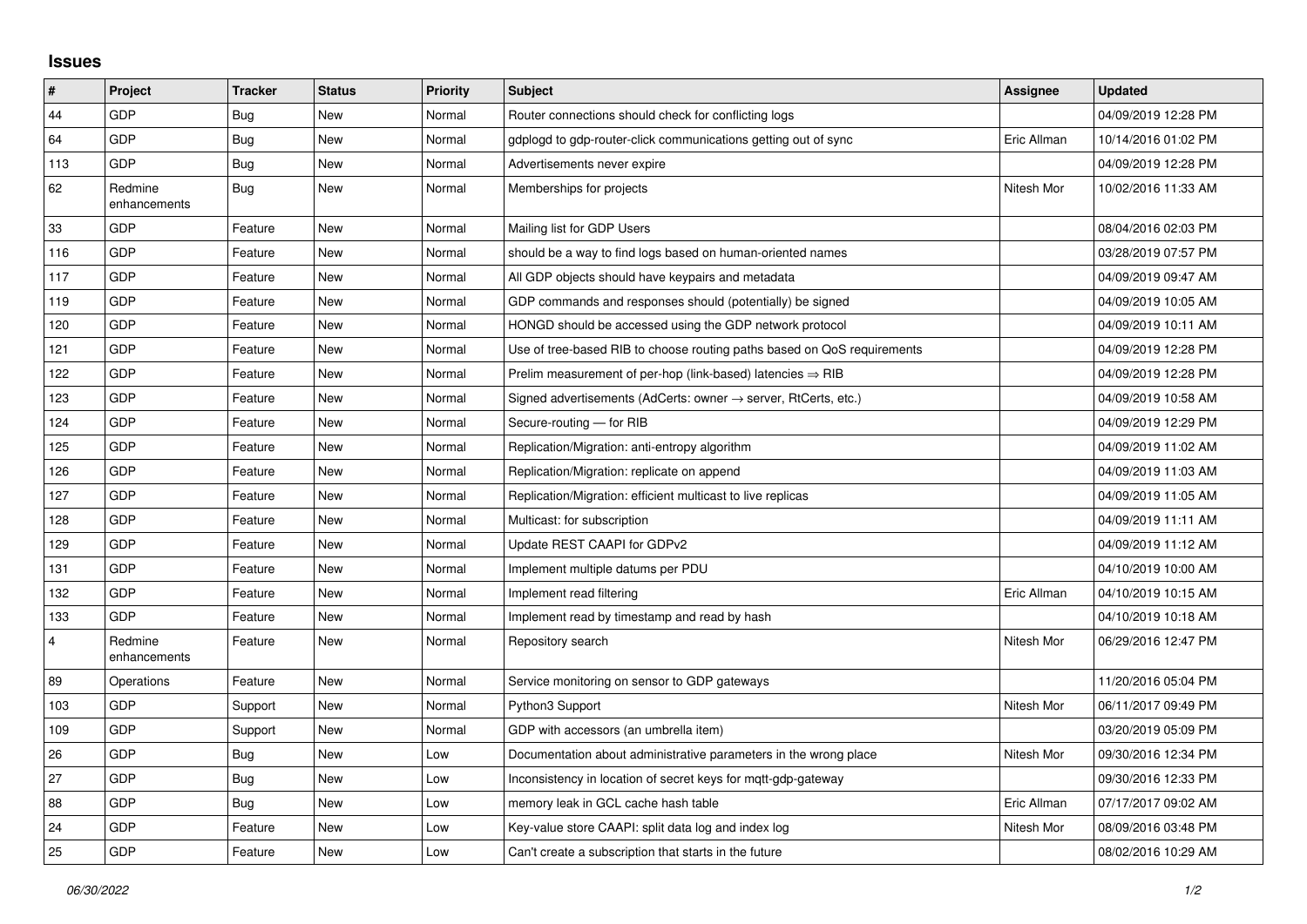## **Issues**

| #              | <b>Project</b>          | <b>Tracker</b> | <b>Status</b> | <b>Priority</b> | <b>Subject</b>                                                             | Assignee    | <b>Updated</b>      |
|----------------|-------------------------|----------------|---------------|-----------------|----------------------------------------------------------------------------|-------------|---------------------|
| 44             | GDP                     | Bug            | New           | Normal          | Router connections should check for conflicting logs                       |             | 04/09/2019 12:28 PM |
| 64             | GDP                     | <b>Bug</b>     | <b>New</b>    | Normal          | gdplogd to gdp-router-click communications getting out of sync             | Eric Allman | 10/14/2016 01:02 PM |
| 113            | GDP                     | <b>Bug</b>     | <b>New</b>    | Normal          | Advertisements never expire                                                |             | 04/09/2019 12:28 PM |
| 62             | Redmine<br>enhancements | <b>Bug</b>     | <b>New</b>    | Normal          | Memberships for projects                                                   | Nitesh Mor  | 10/02/2016 11:33 AM |
| 33             | GDP                     | Feature        | New           | Normal          | Mailing list for GDP Users                                                 |             | 08/04/2016 02:03 PM |
| 116            | GDP                     | Feature        | <b>New</b>    | Normal          | should be a way to find logs based on human-oriented names                 |             | 03/28/2019 07:57 PM |
| 117            | GDP                     | Feature        | <b>New</b>    | Normal          | All GDP objects should have keypairs and metadata                          |             | 04/09/2019 09:47 AM |
| 119            | GDP                     | Feature        | New           | Normal          | GDP commands and responses should (potentially) be signed                  |             | 04/09/2019 10:05 AM |
| 120            | GDP                     | Feature        | <b>New</b>    | Normal          | HONGD should be accessed using the GDP network protocol                    |             | 04/09/2019 10:11 AM |
| 121            | GDP                     | Feature        | New           | Normal          | Use of tree-based RIB to choose routing paths based on QoS requirements    |             | 04/09/2019 12:28 PM |
| 122            | GDP                     | Feature        | New           | Normal          | Prelim measurement of per-hop (link-based) latencies $\Rightarrow$ RIB     |             | 04/09/2019 12:28 PM |
| 123            | GDP                     | Feature        | <b>New</b>    | Normal          | Signed advertisements (AdCerts: owner $\rightarrow$ server, RtCerts, etc.) |             | 04/09/2019 10:58 AM |
| 124            | GDP                     | Feature        | <b>New</b>    | Normal          | Secure-routing - for RIB                                                   |             | 04/09/2019 12:29 PM |
| 125            | GDP                     | Feature        | New           | Normal          | Replication/Migration: anti-entropy algorithm                              |             | 04/09/2019 11:02 AM |
| 126            | GDP                     | Feature        | <b>New</b>    | Normal          | Replication/Migration: replicate on append                                 |             | 04/09/2019 11:03 AM |
| 127            | GDP                     | Feature        | <b>New</b>    | Normal          | Replication/Migration: efficient multicast to live replicas                |             | 04/09/2019 11:05 AM |
| 128            | GDP                     | Feature        | New           | Normal          | Multicast: for subscription                                                |             | 04/09/2019 11:11 AM |
| 129            | GDP                     | Feature        | <b>New</b>    | Normal          | Update REST CAAPI for GDPv2                                                |             | 04/09/2019 11:12 AM |
| 131            | GDP                     | Feature        | <b>New</b>    | Normal          | Implement multiple datums per PDU                                          |             | 04/10/2019 10:00 AM |
| 132            | GDP                     | Feature        | New           | Normal          | Implement read filtering                                                   | Eric Allman | 04/10/2019 10:15 AM |
| 133            | GDP                     | Feature        | <b>New</b>    | Normal          | Implement read by timestamp and read by hash                               |             | 04/10/2019 10:18 AM |
| $\overline{4}$ | Redmine<br>enhancements | Feature        | <b>New</b>    | Normal          | Repository search                                                          | Nitesh Mor  | 06/29/2016 12:47 PM |
| 89             | Operations              | Feature        | <b>New</b>    | Normal          | Service monitoring on sensor to GDP gateways                               |             | 11/20/2016 05:04 PM |
| 103            | GDP                     | Support        | <b>New</b>    | Normal          | Python3 Support                                                            | Nitesh Mor  | 06/11/2017 09:49 PM |
| 109            | GDP                     | Support        | New           | Normal          | GDP with accessors (an umbrella item)                                      |             | 03/20/2019 05:09 PM |
| 26             | GDP                     | Bug            | <b>New</b>    | Low             | Documentation about administrative parameters in the wrong place           | Nitesh Mor  | 09/30/2016 12:34 PM |
| 27             | GDP                     | <b>Bug</b>     | <b>New</b>    | Low             | Inconsistency in location of secret keys for mqtt-gdp-gateway              |             | 09/30/2016 12:33 PM |
| 88             | GDP                     | <b>Bug</b>     | New           | Low             | memory leak in GCL cache hash table                                        | Eric Allman | 07/17/2017 09:02 AM |
| 24             | GDP                     | Feature        | <b>New</b>    | Low             | Key-value store CAAPI: split data log and index log                        | Nitesh Mor  | 08/09/2016 03:48 PM |
| 25             | GDP                     | Feature        | New           | Low             | Can't create a subscription that starts in the future                      |             | 08/02/2016 10:29 AM |